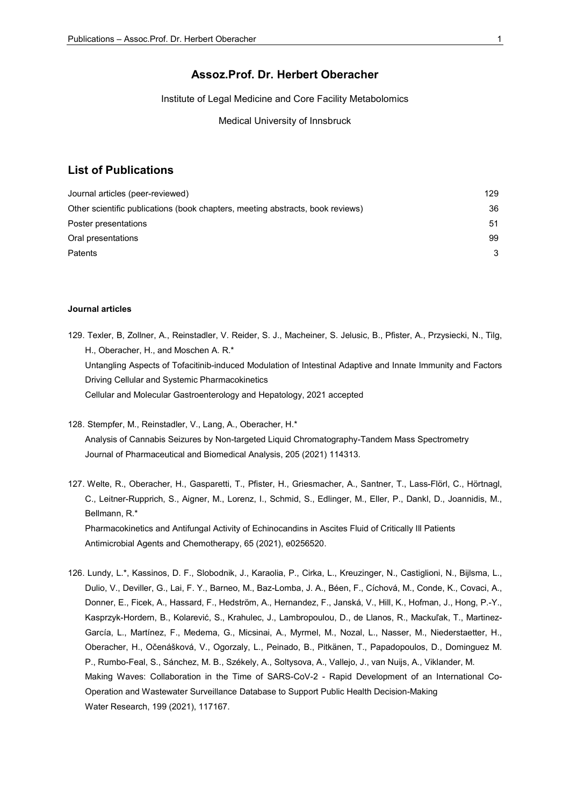## Assoz.Prof. Dr. Herbert Oberacher

Institute of Legal Medicine and Core Facility Metabolomics

Medical University of Innsbruck

## List of Publications

| Journal articles (peer-reviewed)                                               | 129 |
|--------------------------------------------------------------------------------|-----|
| Other scientific publications (book chapters, meeting abstracts, book reviews) | 36  |
| Poster presentations                                                           | 51  |
| Oral presentations                                                             | 99  |
| Patents                                                                        | 3   |

## Journal articles

- 129. Texler, B, Zollner, A., Reinstadler, V. Reider, S. J., Macheiner, S. Jelusic, B., Pfister, A., Przysiecki, N., Tilg, H., Oberacher, H., and Moschen A. R.\* Untangling Aspects of Tofacitinib-induced Modulation of Intestinal Adaptive and Innate Immunity and Factors Driving Cellular and Systemic Pharmacokinetics Cellular and Molecular Gastroenterology and Hepatology, 2021 accepted
- 128. Stempfer, M., Reinstadler, V., Lang, A., Oberacher, H.\* Analysis of Cannabis Seizures by Non-targeted Liquid Chromatography-Tandem Mass Spectrometry Journal of Pharmaceutical and Biomedical Analysis, 205 (2021) 114313.
- 127. Welte, R., Oberacher, H., Gasparetti, T., Pfister, H., Griesmacher, A., Santner, T., Lass-Flörl, C., Hörtnagl, C., Leitner-Rupprich, S., Aigner, M., Lorenz, I., Schmid, S., Edlinger, M., Eller, P., Dankl, D., Joannidis, M., Bellmann, R.\* Pharmacokinetics and Antifungal Activity of Echinocandins in Ascites Fluid of Critically Ill Patients Antimicrobial Agents and Chemotherapy, 65 (2021), e0256520.
- 126. Lundy, L.\*, Kassinos, D. F., Slobodnik, J., Karaolia, P., Cirka, L., Kreuzinger, N., Castiglioni, N., Bijlsma, L., Dulio, V., Deviller, G., Lai, F. Y., Barneo, M., Baz-Lomba, J. A., Béen, F., Cíchová, M., Conde, K., Covaci, A., Donner, E., Ficek, A., Hassard, F., Hedström, A., Hernandez, F., Janská, V., Hill, K., Hofman, J., Hong, P.-Y., Kasprzyk-Hordern, B., Kolarević, S., Krahulec, J., Lambropoulou, D., de Llanos, R., Mackuľak, T., Martinez-García, L., Martínez, F., Medema, G., Micsinai, A., Myrmel, M., Nozal, L., Nasser, M., Niederstaetter, H., Oberacher, H., Očenášková, V., Ogorzaly, L., Peinado, B., Pitkänen, T., Papadopoulos, D., Dominguez M. P., Rumbo-Feal, S., Sánchez, M. B., Székely, A., Soltysova, A., Vallejo, J., van Nuijs, A., Viklander, M. Making Waves: Collaboration in the Time of SARS-CoV-2 - Rapid Development of an International Co-Operation and Wastewater Surveillance Database to Support Public Health Decision-Making Water Research, 199 (2021), 117167.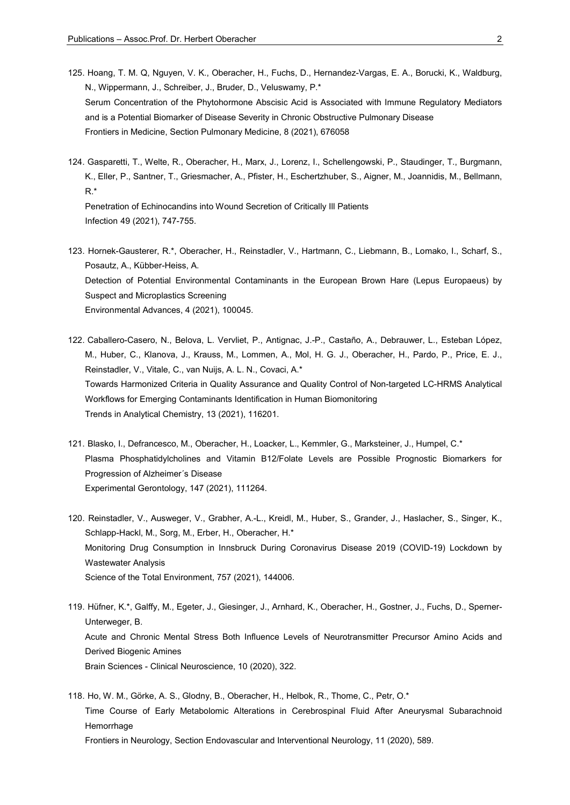- 125. Hoang, T. M. Q, Nguyen, V. K., Oberacher, H., Fuchs, D., Hernandez-Vargas, E. A., Borucki, K., Waldburg, N., Wippermann, J., Schreiber, J., Bruder, D., Veluswamy, P.\* Serum Concentration of the Phytohormone Abscisic Acid is Associated with Immune Regulatory Mediators and is a Potential Biomarker of Disease Severity in Chronic Obstructive Pulmonary Disease Frontiers in Medicine, Section Pulmonary Medicine, 8 (2021), 676058
- 124. Gasparetti, T., Welte, R., Oberacher, H., Marx, J., Lorenz, I., Schellengowski, P., Staudinger, T., Burgmann, K., Eller, P., Santner, T., Griesmacher, A., Pfister, H., Eschertzhuber, S., Aigner, M., Joannidis, M., Bellmann, R.\*

 Penetration of Echinocandins into Wound Secretion of Critically Ill Patients Infection 49 (2021), 747-755.

- 123. Hornek-Gausterer, R.\*, Oberacher, H., Reinstadler, V., Hartmann, C., Liebmann, B., Lomako, I., Scharf, S., Posautz, A., Kübber-Heiss, A. Detection of Potential Environmental Contaminants in the European Brown Hare (Lepus Europaeus) by Suspect and Microplastics Screening Environmental Advances, 4 (2021), 100045.
- 122. Caballero-Casero, N., Belova, L. Vervliet, P., Antignac, J.-P., Castaño, A., Debrauwer, L., Esteban López, M., Huber, C., Klanova, J., Krauss, M., Lommen, A., Mol, H. G. J., Oberacher, H., Pardo, P., Price, E. J., Reinstadler, V., Vitale, C., van Nuijs, A. L. N., Covaci, A.\* Towards Harmonized Criteria in Quality Assurance and Quality Control of Non-targeted LC-HRMS Analytical Workflows for Emerging Contaminants Identification in Human Biomonitoring Trends in Analytical Chemistry, 13 (2021), 116201.
- 121. Blasko, I., Defrancesco, M., Oberacher, H., Loacker, L., Kemmler, G., Marksteiner, J., Humpel, C.\* Plasma Phosphatidylcholines and Vitamin B12/Folate Levels are Possible Prognostic Biomarkers for Progression of Alzheimer´s Disease Experimental Gerontology, 147 (2021), 111264.
- 120. Reinstadler, V., Ausweger, V., Grabher, A.-L., Kreidl, M., Huber, S., Grander, J., Haslacher, S., Singer, K., Schlapp-Hackl, M., Sorg, M., Erber, H., Oberacher, H.\* Monitoring Drug Consumption in Innsbruck During Coronavirus Disease 2019 (COVID-19) Lockdown by Wastewater Analysis Science of the Total Environment, 757 (2021), 144006.
- 119. Hüfner, K.\*, Galffy, M., Egeter, J., Giesinger, J., Arnhard, K., Oberacher, H., Gostner, J., Fuchs, D., Sperner-Unterweger, B. Acute and Chronic Mental Stress Both Influence Levels of Neurotransmitter Precursor Amino Acids and Derived Biogenic Amines Brain Sciences - Clinical Neuroscience, 10 (2020), 322.
- 118. Ho, W. M., Görke, A. S., Glodny, B., Oberacher, H., Helbok, R., Thome, C., Petr, O.\* Time Course of Early Metabolomic Alterations in Cerebrospinal Fluid After Aneurysmal Subarachnoid Hemorrhage

Frontiers in Neurology, Section Endovascular and Interventional Neurology, 11 (2020), 589.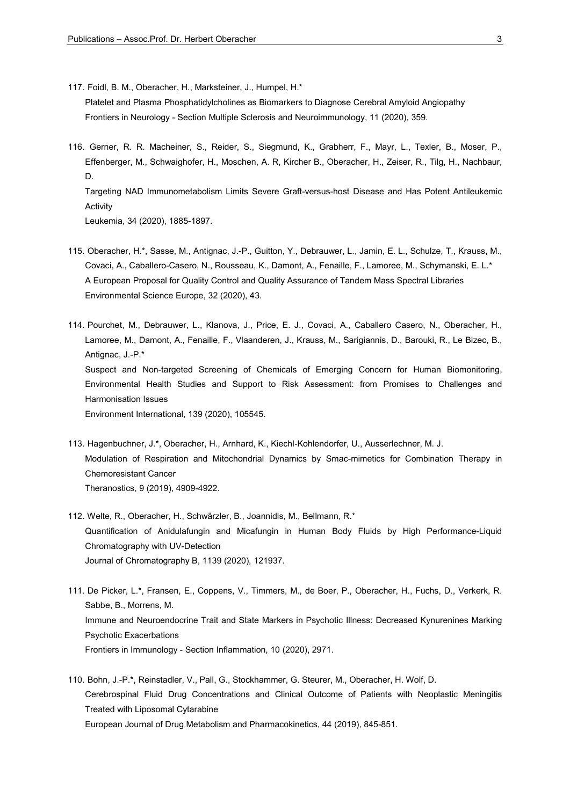117. Foidl, B. M., Oberacher, H., Marksteiner, J., Humpel, H.\*

 Platelet and Plasma Phosphatidylcholines as Biomarkers to Diagnose Cerebral Amyloid Angiopathy Frontiers in Neurology - Section Multiple Sclerosis and Neuroimmunology, 11 (2020), 359.

116. Gerner, R. R. Macheiner, S., Reider, S., Siegmund, K., Grabherr, F., Mayr, L., Texler, B., Moser, P., Effenberger, M., Schwaighofer, H., Moschen, A. R, Kircher B., Oberacher, H., Zeiser, R., Tilg, H., Nachbaur, D. Targeting NAD Immunometabolism Limits Severe Graft-versus-host Disease and Has Potent Antileukemic Activity

Leukemia, 34 (2020), 1885-1897.

- 115. Oberacher, H.\*, Sasse, M., Antignac, J.-P., Guitton, Y., Debrauwer, L., Jamin, E. L., Schulze, T., Krauss, M., Covaci, A., Caballero-Casero, N., Rousseau, K., Damont, A., Fenaille, F., Lamoree, M., Schymanski, E. L.\* A European Proposal for Quality Control and Quality Assurance of Tandem Mass Spectral Libraries Environmental Science Europe, 32 (2020), 43.
- 114. Pourchet, M., Debrauwer, L., Klanova, J., Price, E. J., Covaci, A., Caballero Casero, N., Oberacher, H., Lamoree, M., Damont, A., Fenaille, F., Vlaanderen, J., Krauss, M., Sarigiannis, D., Barouki, R., Le Bizec, B., Antignac, J.-P.\* Suspect and Non-targeted Screening of Chemicals of Emerging Concern for Human Biomonitoring, Environmental Health Studies and Support to Risk Assessment: from Promises to Challenges and Harmonisation Issues Environment International, 139 (2020), 105545.
- 113. Hagenbuchner, J.\*, Oberacher, H., Arnhard, K., Kiechl-Kohlendorfer, U., Ausserlechner, M. J. Modulation of Respiration and Mitochondrial Dynamics by Smac-mimetics for Combination Therapy in Chemoresistant Cancer Theranostics, 9 (2019), 4909-4922.
- 112. Welte, R., Oberacher, H., Schwärzler, B., Joannidis, M., Bellmann, R.\* Quantification of Anidulafungin and Micafungin in Human Body Fluids by High Performance-Liquid Chromatography with UV-Detection Journal of Chromatography B, 1139 (2020), 121937.
- 111. De Picker, L.\*, Fransen, E., Coppens, V., Timmers, M., de Boer, P., Oberacher, H., Fuchs, D., Verkerk, R. Sabbe, B., Morrens, M. Immune and Neuroendocrine Trait and State Markers in Psychotic Illness: Decreased Kynurenines Marking Psychotic Exacerbations Frontiers in Immunology - Section Inflammation, 10 (2020), 2971.
- 110. Bohn, J.-P.\*, Reinstadler, V., Pall, G., Stockhammer, G. Steurer, M., Oberacher, H. Wolf, D. Cerebrospinal Fluid Drug Concentrations and Clinical Outcome of Patients with Neoplastic Meningitis Treated with Liposomal Cytarabine European Journal of Drug Metabolism and Pharmacokinetics, 44 (2019), 845-851.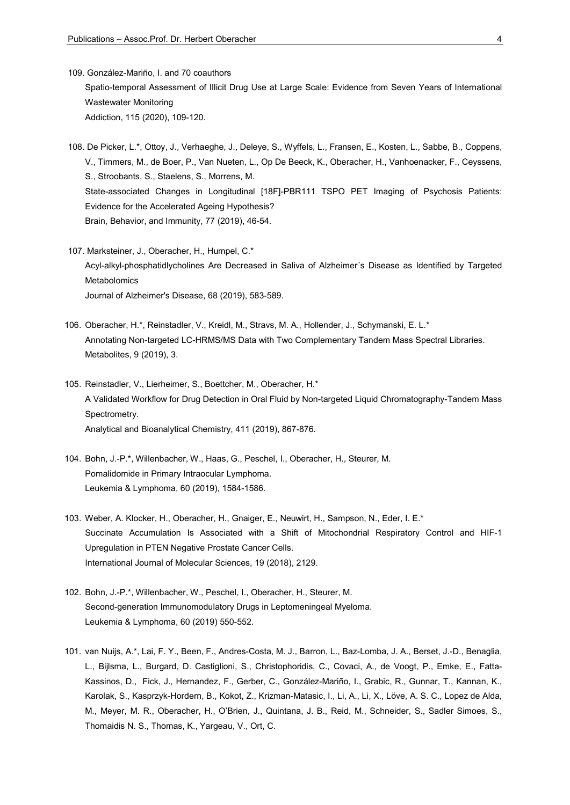- 109. González-Mariño, I. and 70 coauthors Spatio-temporal Assessment of Illicit Drug Use at Large Scale: Evidence from Seven Years of International Wastewater Monitoring Addiction, 115 (2020), 109-120.
- 108. De Picker, L.\*, Ottoy, J., Verhaeghe, J., Deleye, S., Wyffels, L., Fransen, E., Kosten, L., Sabbe, B., Coppens, V., Timmers, M., de Boer, P., Van Nueten, L., Op De Beeck, K., Oberacher, H., Vanhoenacker, F., Ceyssens, S., Stroobants, S., Staelens, S., Morrens, M. State-associated Changes in Longitudinal [18F]-PBR111 TSPO PET Imaging of Psychosis Patients: Evidence for the Accelerated Ageing Hypothesis? Brain, Behavior, and Immunity, 77 (2019), 46-54.
- 107. Marksteiner, J., Oberacher, H., Humpel, C.\* Acyl-alkyl-phosphatidlycholines Are Decreased in Saliva of Alzheimer´s Disease as Identified by Targeted Metabolomics Journal of Alzheimer's Disease, 68 (2019), 583-589.
- 106. Oberacher, H.\*, Reinstadler, V., Kreidl, M., Stravs, M. A., Hollender, J., Schymanski, E. L.\* Annotating Non-targeted LC-HRMS/MS Data with Two Complementary Tandem Mass Spectral Libraries. Metabolites, 9 (2019), 3.
- 105. Reinstadler, V., Lierheimer, S., Boettcher, M., Oberacher, H.\* A Validated Workflow for Drug Detection in Oral Fluid by Non-targeted Liquid Chromatography-Tandem Mass Spectrometry. Analytical and Bioanalytical Chemistry, 411 (2019), 867-876.
- 104. Bohn, J.-P.\*, Willenbacher, W., Haas, G., Peschel, I., Oberacher, H., Steurer, M. Pomalidomide in Primary Intraocular Lymphoma. Leukemia & Lymphoma, 60 (2019), 1584-1586.
- 103. Weber, A. Klocker, H., Oberacher, H., Gnaiger, E., Neuwirt, H., Sampson, N., Eder, I. E.\* Succinate Accumulation Is Associated with a Shift of Mitochondrial Respiratory Control and HIF-1 Upregulation in PTEN Negative Prostate Cancer Cells. International Journal of Molecular Sciences, 19 (2018), 2129.
- 102. Bohn, J.-P.\*, Willenbacher, W., Peschel, I., Oberacher, H., Steurer, M. Second-generation Immunomodulatory Drugs in Leptomeningeal Myeloma. Leukemia & Lymphoma, 60 (2019) 550-552.
- 101. van Nuijs, A.\*, Lai, F. Y., Been, F., Andres-Costa, M. J., Barron, L., Baz-Lomba, J. A., Berset, J.-D., Benaglia, L., Bijlsma, L., Burgard, D. Castiglioni, S., Christophoridis, C., Covaci, A., de Voogt, P., Emke, E., Fatta-Kassinos, D., Fick, J., Hernandez, F., Gerber, C., González-Mariño, I., Grabic, R., Gunnar, T., Kannan, K., Karolak, S., Kasprzyk-Hordern, B., Kokot, Z., Krizman-Matasic, I., Li, A., Li, X., Löve, A. S. C., Lopez de Alda, M., Meyer, M. R., Oberacher, H., O'Brien, J., Quintana, J. B., Reid, M., Schneider, S., Sadler Simoes, S., Thomaidis N. S., Thomas, K., Yargeau, V., Ort, C.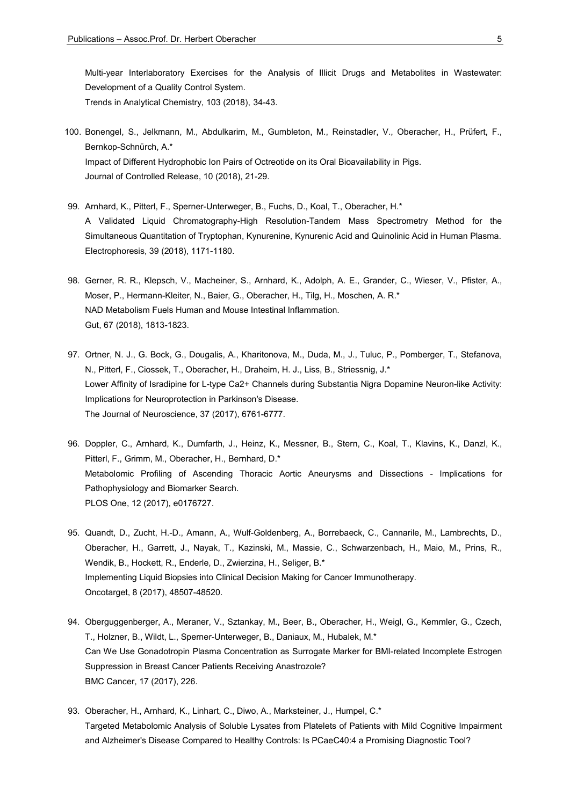Multi-year Interlaboratory Exercises for the Analysis of Illicit Drugs and Metabolites in Wastewater: Development of a Quality Control System. Trends in Analytical Chemistry, 103 (2018), 34-43.

- 100. Bonengel, S., Jelkmann, M., Abdulkarim, M., Gumbleton, M., Reinstadler, V., Oberacher, H., Prüfert, F., Bernkop-Schnürch, A.\* Impact of Different Hydrophobic Ion Pairs of Octreotide on its Oral Bioavailability in Pigs. Journal of Controlled Release, 10 (2018), 21-29.
- 99. Arnhard, K., Pitterl, F., Sperner-Unterweger, B., Fuchs, D., Koal, T., Oberacher, H.\* A Validated Liquid Chromatography-High Resolution-Tandem Mass Spectrometry Method for the Simultaneous Quantitation of Tryptophan, Kynurenine, Kynurenic Acid and Quinolinic Acid in Human Plasma. Electrophoresis, 39 (2018), 1171-1180.
- 98. Gerner, R. R., Klepsch, V., Macheiner, S., Arnhard, K., Adolph, A. E., Grander, C., Wieser, V., Pfister, A., Moser, P., Hermann-Kleiter, N., Baier, G., Oberacher, H., Tilg, H., Moschen, A. R.\* NAD Metabolism Fuels Human and Mouse Intestinal Inflammation. Gut, 67 (2018), 1813-1823.
- 97. Ortner, N. J., G. Bock, G., Dougalis, A., Kharitonova, M., Duda, M., J., Tuluc, P., Pomberger, T., Stefanova, N., Pitterl, F., Ciossek, T., Oberacher, H., Draheim, H. J., Liss, B., Striessnig, J.\* Lower Affinity of Isradipine for L-type Ca2+ Channels during Substantia Nigra Dopamine Neuron-like Activity: Implications for Neuroprotection in Parkinson's Disease. The Journal of Neuroscience, 37 (2017), 6761-6777.
- 96. Doppler, C., Arnhard, K., Dumfarth, J., Heinz, K., Messner, B., Stern, C., Koal, T., Klavins, K., Danzl, K., Pitterl, F., Grimm, M., Oberacher, H., Bernhard, D.\* Metabolomic Profiling of Ascending Thoracic Aortic Aneurysms and Dissections - Implications for Pathophysiology and Biomarker Search. PLOS One, 12 (2017), e0176727.
- 95. Quandt, D., Zucht, H.-D., Amann, A., Wulf-Goldenberg, A., Borrebaeck, C., Cannarile, M., Lambrechts, D., Oberacher, H., Garrett, J., Nayak, T., Kazinski, M., Massie, C., Schwarzenbach, H., Maio, M., Prins, R., Wendik, B., Hockett, R., Enderle, D., Zwierzina, H., Seliger, B.\* Implementing Liquid Biopsies into Clinical Decision Making for Cancer Immunotherapy. Oncotarget, 8 (2017), 48507-48520.
- 94. Oberguggenberger, A., Meraner, V., Sztankay, M., Beer, B., Oberacher, H., Weigl, G., Kemmler, G., Czech, T., Holzner, B., Wildt, L., Sperner-Unterweger, B., Daniaux, M., Hubalek, M.\* Can We Use Gonadotropin Plasma Concentration as Surrogate Marker for BMI-related Incomplete Estrogen Suppression in Breast Cancer Patients Receiving Anastrozole? BMC Cancer, 17 (2017), 226.
- 93. Oberacher, H., Arnhard, K., Linhart, C., Diwo, A., Marksteiner, J., Humpel, C.\* Targeted Metabolomic Analysis of Soluble Lysates from Platelets of Patients with Mild Cognitive Impairment and Alzheimer's Disease Compared to Healthy Controls: Is PCaeC40:4 a Promising Diagnostic Tool?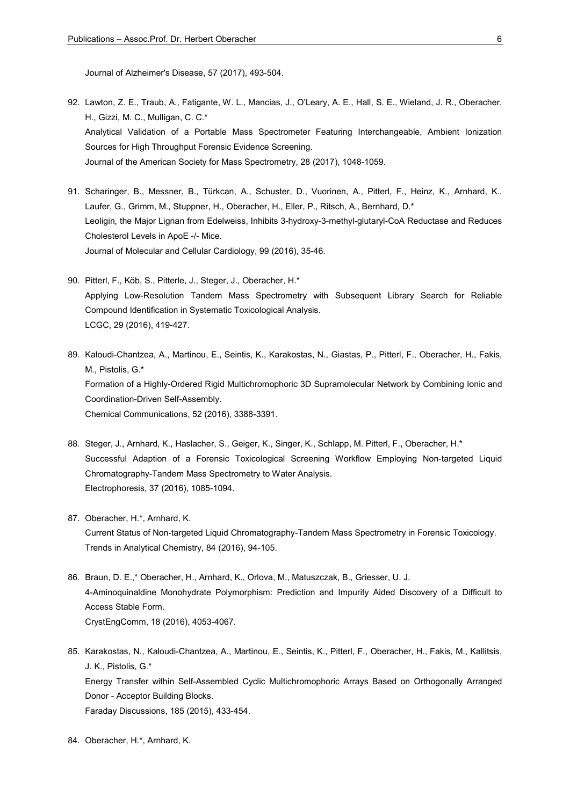Journal of Alzheimer's Disease, 57 (2017), 493-504.

- 92. Lawton, Z. E., Traub, A., Fatigante, W. L., Mancias, J., O'Leary, A. E., Hall, S. E., Wieland, J. R., Oberacher, H., Gizzi, M. C., Mulligan, C. C.\* Analytical Validation of a Portable Mass Spectrometer Featuring Interchangeable, Ambient Ionization Sources for High Throughput Forensic Evidence Screening. Journal of the American Society for Mass Spectrometry, 28 (2017), 1048-1059.
- 91. Scharinger, B., Messner, B., Türkcan, A., Schuster, D., Vuorinen, A., Pitterl, F., Heinz, K., Arnhard, K., Laufer, G., Grimm, M., Stuppner, H., Oberacher, H., Eller, P., Ritsch, A., Bernhard, D.\* Leoligin, the Major Lignan from Edelweiss, Inhibits 3-hydroxy-3-methyl-glutaryl-CoA Reductase and Reduces Cholesterol Levels in ApoE -/- Mice. Journal of Molecular and Cellular Cardiology, 99 (2016), 35-46.
- 90. Pitterl, F., Köb, S., Pitterle, J., Steger, J., Oberacher, H.\* Applying Low-Resolution Tandem Mass Spectrometry with Subsequent Library Search for Reliable Compound Identification in Systematic Toxicological Analysis. LCGC, 29 (2016), 419-427.
- 89. Kaloudi-Chantzea, A., Martinou, E., Seintis, K., Karakostas, N., Giastas, P., Pitterl, F., Oberacher, H., Fakis, M., Pistolis, G.\* Formation of a Highly-Ordered Rigid Multichromophoric 3D Supramolecular Network by Combining Ionic and Coordination-Driven Self-Assembly. Chemical Communications, 52 (2016), 3388-3391.
- 88. Steger, J., Arnhard, K., Haslacher, S., Geiger, K., Singer, K., Schlapp, M. Pitterl, F., Oberacher, H.\* Successful Adaption of a Forensic Toxicological Screening Workflow Employing Non-targeted Liquid Chromatography-Tandem Mass Spectrometry to Water Analysis. Electrophoresis, 37 (2016), 1085-1094.
- 87. Oberacher, H.\*, Arnhard, K. Current Status of Non-targeted Liquid Chromatography-Tandem Mass Spectrometry in Forensic Toxicology. Trends in Analytical Chemistry, 84 (2016), 94-105.
- 86. Braun, D. E.,\* Oberacher, H., Arnhard, K., Orlova, M., Matuszczak, B., Griesser, U. J. 4-Aminoquinaldine Monohydrate Polymorphism: Prediction and Impurity Aided Discovery of a Difficult to Access Stable Form. CrystEngComm, 18 (2016), 4053-4067.
- 85. Karakostas, N., Kaloudi-Chantzea, A., Martinou, E., Seintis, K., Pitterl, F., Oberacher, H., Fakis, M., Kallitsis, J. K., Pistolis, G.\* Energy Transfer within Self-Assembled Cyclic Multichromophoric Arrays Based on Orthogonally Arranged Donor - Acceptor Building Blocks. Faraday Discussions, 185 (2015), 433-454.
- 84. Oberacher, H.\*, Arnhard, K.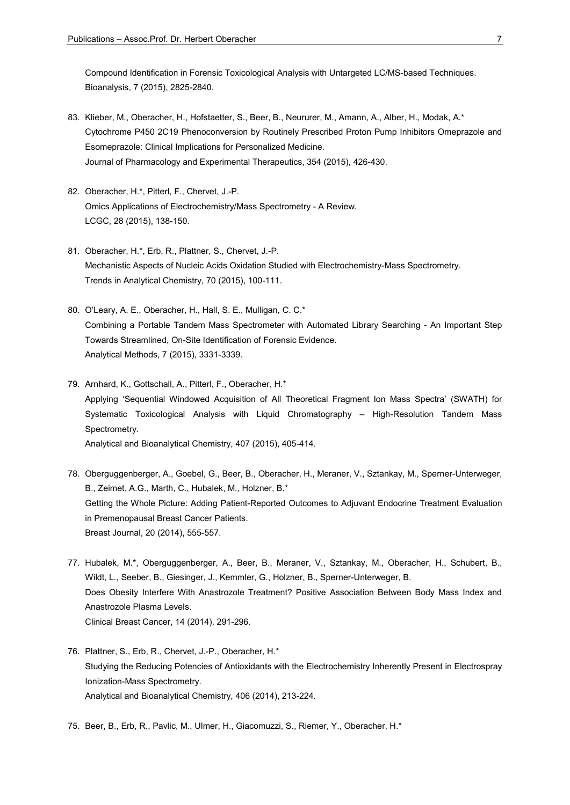Compound Identification in Forensic Toxicological Analysis with Untargeted LC/MS-based Techniques. Bioanalysis, 7 (2015), 2825-2840.

- 83. Klieber, M., Oberacher, H., Hofstaetter, S., Beer, B., Neururer, M., Amann, A., Alber, H., Modak, A.\* Cytochrome P450 2C19 Phenoconversion by Routinely Prescribed Proton Pump Inhibitors Omeprazole and Esomeprazole: Clinical Implications for Personalized Medicine. Journal of Pharmacology and Experimental Therapeutics, 354 (2015), 426-430.
- 82. Oberacher, H.\*, Pitterl, F., Chervet, J.-P. Omics Applications of Electrochemistry/Mass Spectrometry - A Review. LCGC, 28 (2015), 138-150.
- 81. Oberacher, H.\*, Erb, R., Plattner, S., Chervet, J.-P. Mechanistic Aspects of Nucleic Acids Oxidation Studied with Electrochemistry-Mass Spectrometry. Trends in Analytical Chemistry, 70 (2015), 100-111.
- 80. O'Leary, A. E., Oberacher, H., Hall, S. E., Mulligan, C. C.\* Combining a Portable Tandem Mass Spectrometer with Automated Library Searching - An Important Step Towards Streamlined, On-Site Identification of Forensic Evidence. Analytical Methods, 7 (2015), 3331-3339.
- 79. Arnhard, K., Gottschall, A., Pitterl, F., Oberacher, H.\* Applying 'Sequential Windowed Acquisition of All Theoretical Fragment Ion Mass Spectra' (SWATH) for Systematic Toxicological Analysis with Liquid Chromatography – High-Resolution Tandem Mass Spectrometry. Analytical and Bioanalytical Chemistry, 407 (2015), 405-414.
- 78. Oberguggenberger, A., Goebel, G., Beer, B., Oberacher, H., Meraner, V., Sztankay, M., Sperner-Unterweger, B., Zeimet, A.G., Marth, C., Hubalek, M., Holzner, B.\* Getting the Whole Picture: Adding Patient-Reported Outcomes to Adjuvant Endocrine Treatment Evaluation in Premenopausal Breast Cancer Patients. Breast Journal, 20 (2014), 555-557.
- 77. Hubalek, M.\*, Oberguggenberger, A., Beer, B., Meraner, V., Sztankay, M., Oberacher, H., Schubert, B., Wildt, L., Seeber, B., Giesinger, J., Kemmler, G., Holzner, B., Sperner-Unterweger, B. Does Obesity Interfere With Anastrozole Treatment? Positive Association Between Body Mass Index and Anastrozole Plasma Levels. Clinical Breast Cancer, 14 (2014), 291-296.
- 76. Plattner, S., Erb, R., Chervet, J.-P., Oberacher, H.\* Studying the Reducing Potencies of Antioxidants with the Electrochemistry Inherently Present in Electrospray Ionization-Mass Spectrometry. Analytical and Bioanalytical Chemistry, 406 (2014), 213-224.
- 75. Beer, B., Erb, R., Pavlic, M., Ulmer, H., Giacomuzzi, S., Riemer, Y., Oberacher, H.\*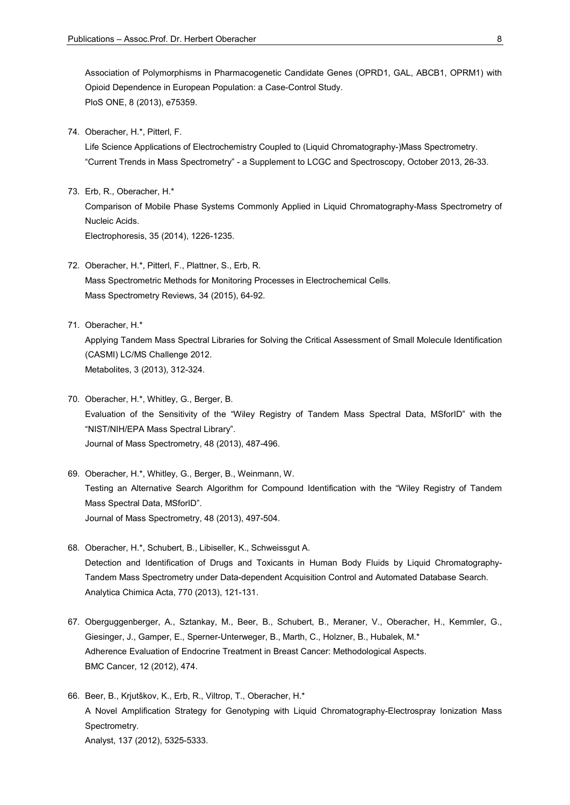Association of Polymorphisms in Pharmacogenetic Candidate Genes (OPRD1, GAL, ABCB1, OPRM1) with Opioid Dependence in European Population: a Case-Control Study. PloS ONE, 8 (2013), e75359.

74. Oberacher, H.\*, Pitterl, F.

 Life Science Applications of Electrochemistry Coupled to (Liquid Chromatography-)Mass Spectrometry. "Current Trends in Mass Spectrometry" - a Supplement to LCGC and Spectroscopy, October 2013, 26-33.

- 73. Erb, R., Oberacher, H.\* Comparison of Mobile Phase Systems Commonly Applied in Liquid Chromatography-Mass Spectrometry of Nucleic Acids. Electrophoresis, 35 (2014), 1226-1235.
- 72. Oberacher, H.\*, Pitterl, F., Plattner, S., Erb, R. Mass Spectrometric Methods for Monitoring Processes in Electrochemical Cells. Mass Spectrometry Reviews, 34 (2015), 64-92.
- 71. Oberacher, H.\*

 Applying Tandem Mass Spectral Libraries for Solving the Critical Assessment of Small Molecule Identification (CASMI) LC/MS Challenge 2012. Metabolites, 3 (2013), 312-324.

- 70. Oberacher, H.\*, Whitley, G., Berger, B. Evaluation of the Sensitivity of the "Wiley Registry of Tandem Mass Spectral Data, MSforID" with the "NIST/NIH/EPA Mass Spectral Library". Journal of Mass Spectrometry, 48 (2013), 487-496.
- 69. Oberacher, H.\*, Whitley, G., Berger, B., Weinmann, W. Testing an Alternative Search Algorithm for Compound Identification with the "Wiley Registry of Tandem Mass Spectral Data, MSforID". Journal of Mass Spectrometry, 48 (2013), 497-504.
- 68. Oberacher, H.\*, Schubert, B., Libiseller, K., Schweissgut A. Detection and Identification of Drugs and Toxicants in Human Body Fluids by Liquid Chromatography-Tandem Mass Spectrometry under Data-dependent Acquisition Control and Automated Database Search. Analytica Chimica Acta, 770 (2013), 121-131.
- 67. Oberguggenberger, A., Sztankay, M., Beer, B., Schubert, B., Meraner, V., Oberacher, H., Kemmler, G., Giesinger, J., Gamper, E., Sperner-Unterweger, B., Marth, C., Holzner, B., Hubalek, M.\* Adherence Evaluation of Endocrine Treatment in Breast Cancer: Methodological Aspects. BMC Cancer, 12 (2012), 474.
- 66. Beer, B., Krjutškov, K., Erb, R., Viltrop, T., Oberacher, H.\* A Novel Amplification Strategy for Genotyping with Liquid Chromatography-Electrospray Ionization Mass Spectrometry. Analyst, 137 (2012), 5325-5333.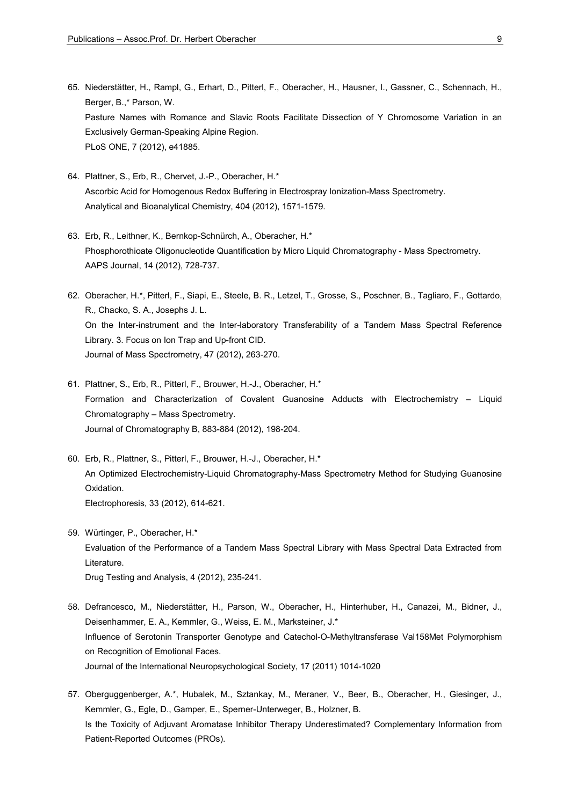- 65. Niederstätter, H., Rampl, G., Erhart, D., Pitterl, F., Oberacher, H., Hausner, I., Gassner, C., Schennach, H., Berger, B.,\* Parson, W. Pasture Names with Romance and Slavic Roots Facilitate Dissection of Y Chromosome Variation in an Exclusively German-Speaking Alpine Region. PLoS ONE, 7 (2012), e41885.
- 64. Plattner, S., Erb, R., Chervet, J.-P., Oberacher, H.\* Ascorbic Acid for Homogenous Redox Buffering in Electrospray Ionization-Mass Spectrometry. Analytical and Bioanalytical Chemistry, 404 (2012), 1571-1579.
- 63. Erb, R., Leithner, K., Bernkop-Schnürch, A., Oberacher, H.\* Phosphorothioate Oligonucleotide Quantification by Micro Liquid Chromatography - Mass Spectrometry. AAPS Journal, 14 (2012), 728-737.
- 62. Oberacher, H.\*, Pitterl, F., Siapi, E., Steele, B. R., Letzel, T., Grosse, S., Poschner, B., Tagliaro, F., Gottardo, R., Chacko, S. A., Josephs J. L. On the Inter-instrument and the Inter-laboratory Transferability of a Tandem Mass Spectral Reference Library. 3. Focus on Ion Trap and Up-front CID. Journal of Mass Spectrometry, 47 (2012), 263-270.
- 61. Plattner, S., Erb, R., Pitterl, F., Brouwer, H.-J., Oberacher, H.\* Formation and Characterization of Covalent Guanosine Adducts with Electrochemistry – Liquid Chromatography – Mass Spectrometry. Journal of Chromatography B, 883-884 (2012), 198-204.
- 60. Erb, R., Plattner, S., Pitterl, F., Brouwer, H.-J., Oberacher, H.\* An Optimized Electrochemistry-Liquid Chromatography-Mass Spectrometry Method for Studying Guanosine Oxidation. Electrophoresis, 33 (2012), 614-621.
- 59. Würtinger, P., Oberacher, H.\* Evaluation of the Performance of a Tandem Mass Spectral Library with Mass Spectral Data Extracted from Literature. Drug Testing and Analysis, 4 (2012), 235-241.
- 58. Defrancesco, M., Niederstätter, H., Parson, W., Oberacher, H., Hinterhuber, H., Canazei, M., Bidner, J., Deisenhammer, E. A., Kemmler, G., Weiss, E. M., Marksteiner, J.\* Influence of Serotonin Transporter Genotype and Catechol-O-Methyltransferase Val158Met Polymorphism on Recognition of Emotional Faces. Journal of the International Neuropsychological Society, 17 (2011) 1014-1020
- 57. Oberguggenberger, A.\*, Hubalek, M., Sztankay, M., Meraner, V., Beer, B., Oberacher, H., Giesinger, J., Kemmler, G., Egle, D., Gamper, E., Sperner-Unterweger, B., Holzner, B. Is the Toxicity of Adjuvant Aromatase Inhibitor Therapy Underestimated? Complementary Information from Patient-Reported Outcomes (PROs).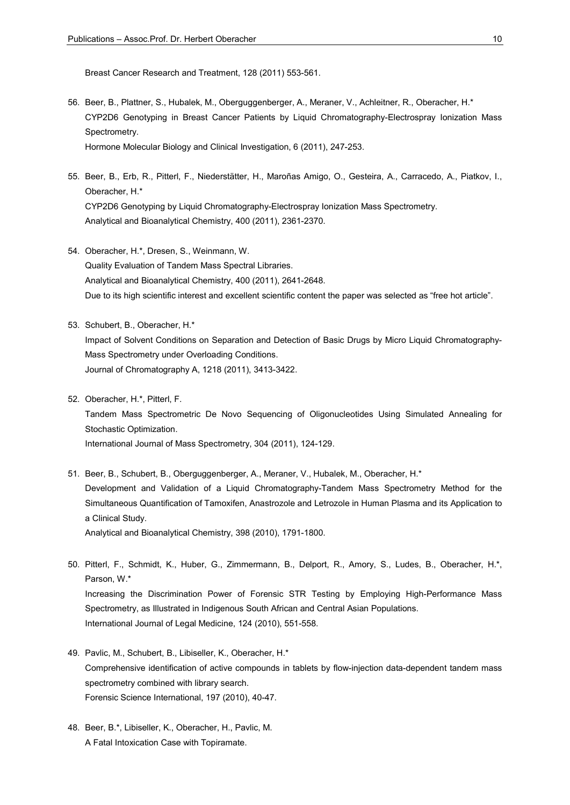Breast Cancer Research and Treatment, 128 (2011) 553-561.

- 56. Beer, B., Plattner, S., Hubalek, M., Oberguggenberger, A., Meraner, V., Achleitner, R., Oberacher, H.\* CYP2D6 Genotyping in Breast Cancer Patients by Liquid Chromatography-Electrospray Ionization Mass Spectrometry. Hormone Molecular Biology and Clinical Investigation, 6 (2011), 247-253.
- 55. Beer, B., Erb, R., Pitterl, F., Niederstätter, H., Maroñas Amigo, O., Gesteira, A., Carracedo, A., Piatkov, I., Oberacher, H.\* CYP2D6 Genotyping by Liquid Chromatography-Electrospray Ionization Mass Spectrometry. Analytical and Bioanalytical Chemistry, 400 (2011), 2361-2370.
- 54. Oberacher, H.\*, Dresen, S., Weinmann, W. Quality Evaluation of Tandem Mass Spectral Libraries. Analytical and Bioanalytical Chemistry, 400 (2011), 2641-2648. Due to its high scientific interest and excellent scientific content the paper was selected as "free hot article".
- 53. Schubert, B., Oberacher, H.\* Impact of Solvent Conditions on Separation and Detection of Basic Drugs by Micro Liquid Chromatography-Mass Spectrometry under Overloading Conditions. Journal of Chromatography A, 1218 (2011), 3413-3422.
- 52. Oberacher, H.\*, Pitterl, F. Tandem Mass Spectrometric De Novo Sequencing of Oligonucleotides Using Simulated Annealing for Stochastic Optimization. International Journal of Mass Spectrometry, 304 (2011), 124-129.
- 51. Beer, B., Schubert, B., Oberguggenberger, A., Meraner, V., Hubalek, M., Oberacher, H.\* Development and Validation of a Liquid Chromatography-Tandem Mass Spectrometry Method for the Simultaneous Quantification of Tamoxifen, Anastrozole and Letrozole in Human Plasma and its Application to a Clinical Study. Analytical and Bioanalytical Chemistry, 398 (2010), 1791-1800.
- 50. Pitterl, F., Schmidt, K., Huber, G., Zimmermann, B., Delport, R., Amory, S., Ludes, B., Oberacher, H.\*, Parson, W.\* Increasing the Discrimination Power of Forensic STR Testing by Employing High-Performance Mass Spectrometry, as Illustrated in Indigenous South African and Central Asian Populations. International Journal of Legal Medicine, 124 (2010), 551-558.
- 49. Pavlic, M., Schubert, B., Libiseller, K., Oberacher, H.\* Comprehensive identification of active compounds in tablets by flow-injection data-dependent tandem mass spectrometry combined with library search. Forensic Science International, 197 (2010), 40-47.
- 48. Beer, B.\*, Libiseller, K., Oberacher, H., Pavlic, M. A Fatal Intoxication Case with Topiramate.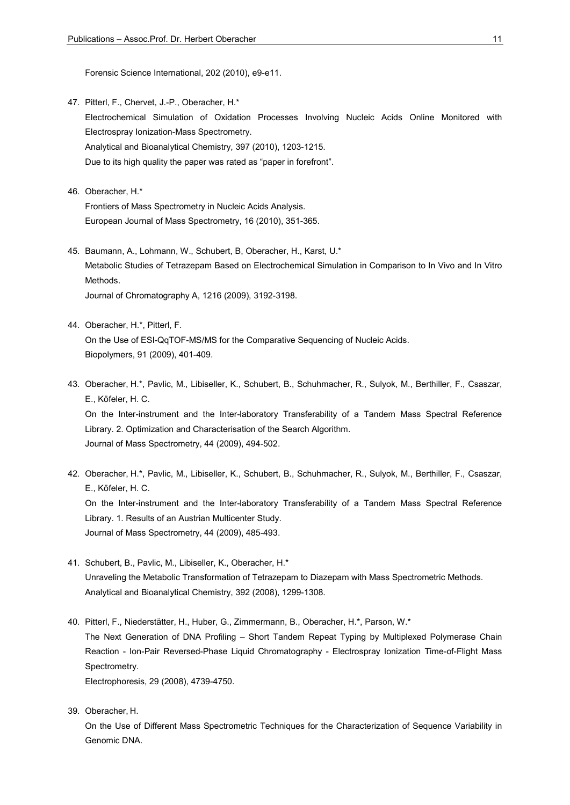Forensic Science International, 202 (2010), e9-e11.

- 47. Pitterl, F., Chervet, J.-P., Oberacher, H.\* Electrochemical Simulation of Oxidation Processes Involving Nucleic Acids Online Monitored with Electrospray Ionization-Mass Spectrometry. Analytical and Bioanalytical Chemistry, 397 (2010), 1203-1215. Due to its high quality the paper was rated as "paper in forefront".
- 46. Oberacher, H.\* Frontiers of Mass Spectrometry in Nucleic Acids Analysis. European Journal of Mass Spectrometry, 16 (2010), 351-365.
- 45. Baumann, A., Lohmann, W., Schubert, B, Oberacher, H., Karst, U.\* Metabolic Studies of Tetrazepam Based on Electrochemical Simulation in Comparison to In Vivo and In Vitro Methods. Journal of Chromatography A, 1216 (2009), 3192-3198.
- 44. Oberacher, H.\*, Pitterl, F. On the Use of ESI-QqTOF-MS/MS for the Comparative Sequencing of Nucleic Acids. Biopolymers, 91 (2009), 401-409.
- 43. Oberacher, H.\*, Pavlic, M., Libiseller, K., Schubert, B., Schuhmacher, R., Sulyok, M., Berthiller, F., Csaszar, E., Köfeler, H. C. On the Inter-instrument and the Inter-laboratory Transferability of a Tandem Mass Spectral Reference Library. 2. Optimization and Characterisation of the Search Algorithm. Journal of Mass Spectrometry, 44 (2009), 494-502.
- 42. Oberacher, H.\*, Pavlic, M., Libiseller, K., Schubert, B., Schuhmacher, R., Sulyok, M., Berthiller, F., Csaszar, E., Köfeler, H. C. On the Inter-instrument and the Inter-laboratory Transferability of a Tandem Mass Spectral Reference Library. 1. Results of an Austrian Multicenter Study. Journal of Mass Spectrometry, 44 (2009), 485-493.
- 41. Schubert, B., Pavlic, M., Libiseller, K., Oberacher, H.\* Unraveling the Metabolic Transformation of Tetrazepam to Diazepam with Mass Spectrometric Methods. Analytical and Bioanalytical Chemistry, 392 (2008), 1299-1308.
- 40. Pitterl, F., Niederstätter, H., Huber, G., Zimmermann, B., Oberacher, H.\*, Parson, W.\* The Next Generation of DNA Profiling – Short Tandem Repeat Typing by Multiplexed Polymerase Chain Reaction - Ion-Pair Reversed-Phase Liquid Chromatography - Electrospray Ionization Time-of-Flight Mass Spectrometry.

Electrophoresis, 29 (2008), 4739-4750.

39. Oberacher, H.

 On the Use of Different Mass Spectrometric Techniques for the Characterization of Sequence Variability in Genomic DNA.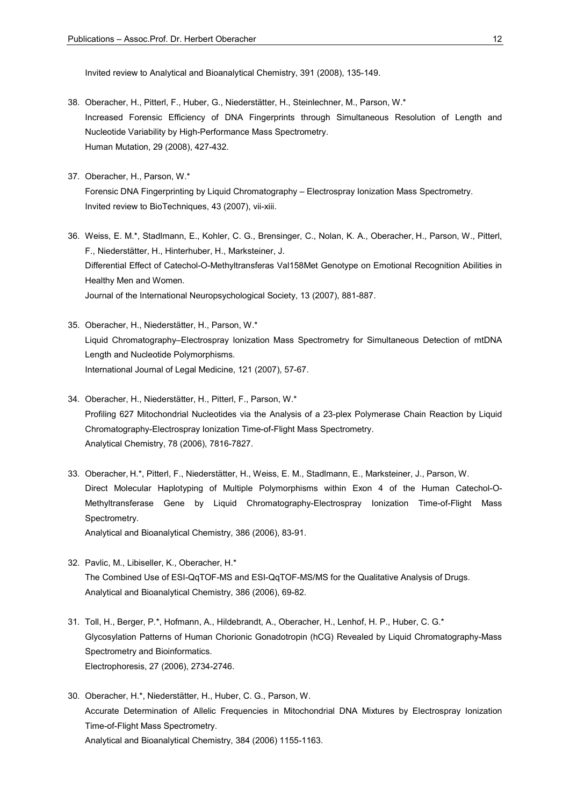Invited review to Analytical and Bioanalytical Chemistry, 391 (2008), 135-149.

- 38. Oberacher, H., Pitterl, F., Huber, G., Niederstätter, H., Steinlechner, M., Parson, W.\* Increased Forensic Efficiency of DNA Fingerprints through Simultaneous Resolution of Length and Nucleotide Variability by High-Performance Mass Spectrometry. Human Mutation, 29 (2008), 427-432.
- 37. Oberacher, H., Parson, W.\* Forensic DNA Fingerprinting by Liquid Chromatography – Electrospray Ionization Mass Spectrometry. Invited review to BioTechniques, 43 (2007), vii-xiii.
- 36. Weiss, E. M.\*, Stadlmann, E., Kohler, C. G., Brensinger, C., Nolan, K. A., Oberacher, H., Parson, W., Pitterl, F., Niederstätter, H., Hinterhuber, H., Marksteiner, J. Differential Effect of Catechol-O-Methyltransferas Val158Met Genotype on Emotional Recognition Abilities in Healthy Men and Women. Journal of the International Neuropsychological Society, 13 (2007), 881-887.
- 35. Oberacher, H., Niederstätter, H., Parson, W.\* Liquid Chromatography–Electrospray Ionization Mass Spectrometry for Simultaneous Detection of mtDNA Length and Nucleotide Polymorphisms. International Journal of Legal Medicine, 121 (2007), 57-67.
- 34. Oberacher, H., Niederstätter, H., Pitterl, F., Parson, W.\* Profiling 627 Mitochondrial Nucleotides via the Analysis of a 23-plex Polymerase Chain Reaction by Liquid Chromatography-Electrospray Ionization Time-of-Flight Mass Spectrometry. Analytical Chemistry, 78 (2006), 7816-7827.
- 33. Oberacher, H.\*, Pitterl, F., Niederstätter, H., Weiss, E. M., Stadlmann, E., Marksteiner, J., Parson, W. Direct Molecular Haplotyping of Multiple Polymorphisms within Exon 4 of the Human Catechol-O-Methyltransferase Gene by Liquid Chromatography-Electrospray Ionization Time-of-Flight Mass Spectrometry. Analytical and Bioanalytical Chemistry, 386 (2006), 83-91.
- 32. Pavlic, M., Libiseller, K., Oberacher, H.\* The Combined Use of ESI-QqTOF-MS and ESI-QqTOF-MS/MS for the Qualitative Analysis of Drugs. Analytical and Bioanalytical Chemistry, 386 (2006), 69-82.
- 31. Toll, H., Berger, P.\*, Hofmann, A., Hildebrandt, A., Oberacher, H., Lenhof, H. P., Huber, C. G.\* Glycosylation Patterns of Human Chorionic Gonadotropin (hCG) Revealed by Liquid Chromatography-Mass Spectrometry and Bioinformatics. Electrophoresis, 27 (2006), 2734-2746.
- 30. Oberacher, H.\*, Niederstätter, H., Huber, C. G., Parson, W. Accurate Determination of Allelic Frequencies in Mitochondrial DNA Mixtures by Electrospray Ionization Time-of-Flight Mass Spectrometry. Analytical and Bioanalytical Chemistry, 384 (2006) 1155-1163.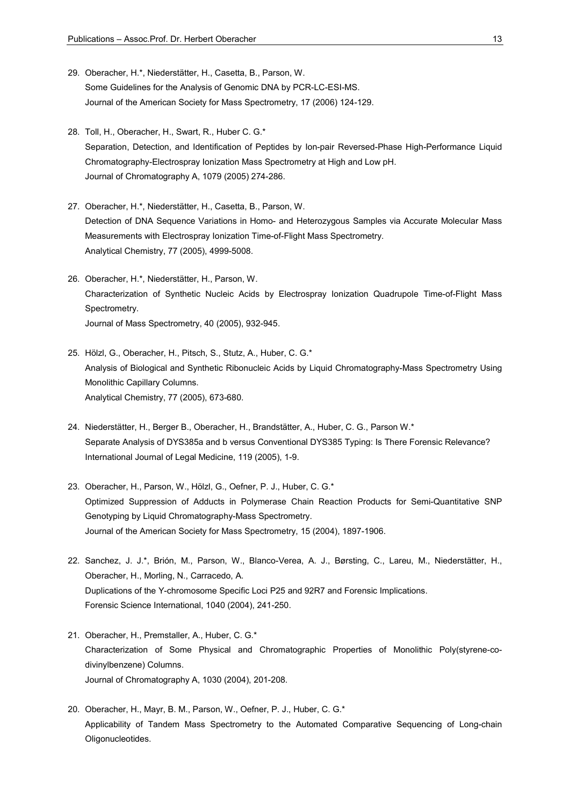- 29. Oberacher, H.\*, Niederstätter, H., Casetta, B., Parson, W. Some Guidelines for the Analysis of Genomic DNA by PCR-LC-ESI-MS. Journal of the American Society for Mass Spectrometry, 17 (2006) 124-129.
- 28. Toll, H., Oberacher, H., Swart, R., Huber C. G.\* Separation, Detection, and Identification of Peptides by Ion-pair Reversed-Phase High-Performance Liquid Chromatography-Electrospray Ionization Mass Spectrometry at High and Low pH. Journal of Chromatography A, 1079 (2005) 274-286.
- 27. Oberacher, H.\*, Niederstätter, H., Casetta, B., Parson, W. Detection of DNA Sequence Variations in Homo- and Heterozygous Samples via Accurate Molecular Mass Measurements with Electrospray Ionization Time-of-Flight Mass Spectrometry. Analytical Chemistry, 77 (2005), 4999-5008.
- 26. Oberacher, H.\*, Niederstätter, H., Parson, W. Characterization of Synthetic Nucleic Acids by Electrospray Ionization Quadrupole Time-of-Flight Mass Spectrometry. Journal of Mass Spectrometry, 40 (2005), 932-945.
- 25. Hölzl, G., Oberacher, H., Pitsch, S., Stutz, A., Huber, C. G.\* Analysis of Biological and Synthetic Ribonucleic Acids by Liquid Chromatography-Mass Spectrometry Using Monolithic Capillary Columns. Analytical Chemistry, 77 (2005), 673-680.
- 24. Niederstätter, H., Berger B., Oberacher, H., Brandstätter, A., Huber, C. G., Parson W.\* Separate Analysis of DYS385a and b versus Conventional DYS385 Typing: Is There Forensic Relevance? International Journal of Legal Medicine, 119 (2005), 1-9.
- 23. Oberacher, H., Parson, W., Hölzl, G., Oefner, P. J., Huber, C. G.\* Optimized Suppression of Adducts in Polymerase Chain Reaction Products for Semi-Quantitative SNP Genotyping by Liquid Chromatography-Mass Spectrometry. Journal of the American Society for Mass Spectrometry, 15 (2004), 1897-1906.
- 22. Sanchez, J. J.\*, Brión, M., Parson, W., Blanco-Verea, A. J., Børsting, C., Lareu, M., Niederstätter, H., Oberacher, H., Morling, N., Carracedo, A. Duplications of the Y-chromosome Specific Loci P25 and 92R7 and Forensic Implications. Forensic Science International, 1040 (2004), 241-250.
- 21. Oberacher, H., Premstaller, A., Huber, C. G.\* Characterization of Some Physical and Chromatographic Properties of Monolithic Poly(styrene-codivinylbenzene) Columns. Journal of Chromatography A, 1030 (2004), 201-208.
- 20. Oberacher, H., Mayr, B. M., Parson, W., Oefner, P. J., Huber, C. G.\* Applicability of Tandem Mass Spectrometry to the Automated Comparative Sequencing of Long-chain Oligonucleotides.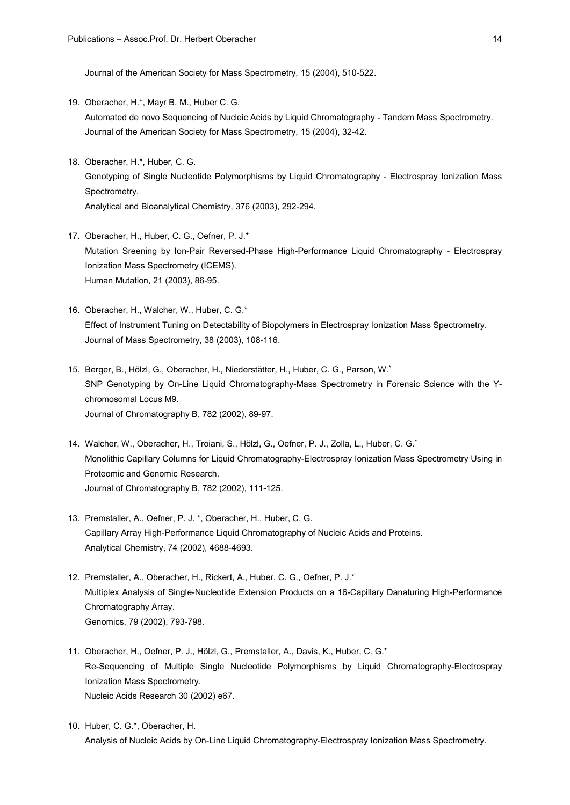Journal of the American Society for Mass Spectrometry, 15 (2004), 510-522.

- 19. Oberacher, H.\*, Mayr B. M., Huber C. G. Automated de novo Sequencing of Nucleic Acids by Liquid Chromatography - Tandem Mass Spectrometry. Journal of the American Society for Mass Spectrometry, 15 (2004), 32-42.
- 18. Oberacher, H.\*, Huber, C. G. Genotyping of Single Nucleotide Polymorphisms by Liquid Chromatography - Electrospray Ionization Mass Spectrometry. Analytical and Bioanalytical Chemistry, 376 (2003), 292-294.
- 17. Oberacher, H., Huber, C. G., Oefner, P. J.\* Mutation Sreening by Ion-Pair Reversed-Phase High-Performance Liquid Chromatography - Electrospray Ionization Mass Spectrometry (ICEMS). Human Mutation, 21 (2003), 86-95.
- 16. Oberacher, H., Walcher, W., Huber, C. G.\* Effect of Instrument Tuning on Detectability of Biopolymers in Electrospray Ionization Mass Spectrometry. Journal of Mass Spectrometry, 38 (2003), 108-116.
- 15. Berger, B., Hölzl, G., Oberacher, H., Niederstätter, H., Huber, C. G., Parson, W.\* SNP Genotyping by On-Line Liquid Chromatography-Mass Spectrometry in Forensic Science with the Ychromosomal Locus M9. Journal of Chromatography B, 782 (2002), 89-97.
- 14. Walcher, W., Oberacher, H., Troiani, S., Hölzl, G., Oefner, P. J., Zolla, L., Huber, C. G.\* Monolithic Capillary Columns for Liquid Chromatography-Electrospray Ionization Mass Spectrometry Using in Proteomic and Genomic Research. Journal of Chromatography B, 782 (2002), 111-125.
- 13. Premstaller, A., Oefner, P. J. \*, Oberacher, H., Huber, C. G. Capillary Array High-Performance Liquid Chromatography of Nucleic Acids and Proteins. Analytical Chemistry, 74 (2002), 4688-4693.
- 12. Premstaller, A., Oberacher, H., Rickert, A., Huber, C. G., Oefner, P. J.\* Multiplex Analysis of Single-Nucleotide Extension Products on a 16-Capillary Danaturing High-Performance Chromatography Array. Genomics, 79 (2002), 793-798.
- 11. Oberacher, H., Oefner, P. J., Hölzl, G., Premstaller, A., Davis, K., Huber, C. G.\* Re-Sequencing of Multiple Single Nucleotide Polymorphisms by Liquid Chromatography-Electrospray Ionization Mass Spectrometry. Nucleic Acids Research 30 (2002) e67.
- 10. Huber, C. G.\*, Oberacher, H. Analysis of Nucleic Acids by On-Line Liquid Chromatography-Electrospray Ionization Mass Spectrometry.